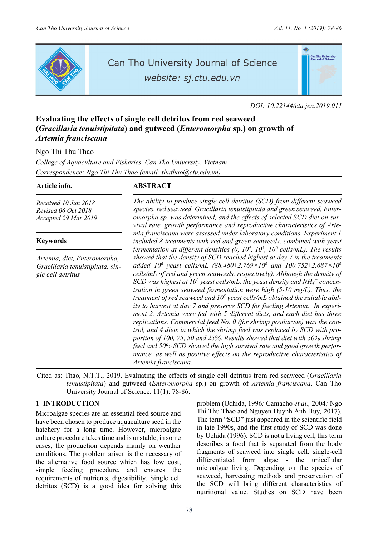

# Can Tho University Journal of Science

website: sj.ctu.edu.vn



*DOI: 10.22144/ctu.jen.2019.011* 

## **Evaluating the effects of single cell detritus from red seaweed (***Gracillaria tenuistipitata***) and gutweed (***Enteromorpha* **sp.) on growth of**  *Artemia franciscana*

Ngo Thi Thu Thao

*College of Aquaculture and Fisheries, Can Tho University, Vietnam Correspondence: Ngo Thi Thu Thao (email: thuthao@ctu.edu.vn)* 

*Received 10 Jun 2018 Revised 06 Oct 2018 Accepted 29 Mar 2019*

## **Keywords**

*Artemia, diet, Enteromorpha, Gracillaria tenuistipitata, single cell detritus* 

## **Article info. ABSTRACT**

*The ability to produce single cell detritus (SCD) from different seaweed species, red seaweed, Gracillaria tenuistipitata and green seaweed, Enteromorpha sp. was determined, and the effects of selected SCD diet on survival rate, growth performance and reproductive characteristics of Artemia franciscana were assessed under laboratory conditions. Experiment 1 included 8 treatments with red and green seaweeds, combined with yeast fermentation at different densities (0, 10<sup>4</sup>, 10<sup>5</sup>, 10<sup>6</sup> cells/mL). The results showed that the density of SCD reached highest at day 7 in the treatments added 106 yeast cells/mL (88.480±2.769×106 and 100.752±2.687×106 cells/mL of red and green seaweeds, respectively). Although the density of* SCD was highest at 10<sup>6</sup> yeast cells/mL, the yeast density and NH<sub>4</sub><sup>+</sup> concen*tration in green seaweed fermentation were high (5-10 mg/L). Thus, the*  treatment of red seaweed and 10<sup>5</sup> yeast cells/mL obtained the suitable abil*ity to harvest at day 7 and preserve SCD for feeding Artemia. In experiment 2, Artemia were fed with 5 different diets, and each diet has three replications. Commercial feed No. 0 (for shrimp postlarvae) was the control, and 4 diets in which the shrimp feed was replaced by SCD with proportion of 100, 75, 50 and 25%. Results showed that diet with 50% shrimp feed and 50% SCD showed the high survival rate and good growth performance, as well as positive effects on the reproductive characteristics of Artemia franciscana.* 

Cited as: Thao, N.T.T., 2019. Evaluating the effects of single cell detritus from red seaweed (*Gracillaria tenuistipitata*) and gutweed (*Enteromorpha* sp.) on growth of *Artemia franciscana*. Can Tho University Journal of Science. 11(1): 78-86.

## **1 INTRODUCTION**

Microalgae species are an essential feed source and have been chosen to produce aquaculture seed in the hatchery for a long time. However, microalgae culture procedure takes time and is unstable, in some cases, the production depends mainly on weather conditions. The problem arisen is the necessary of the alternative food source which has low cost, simple feeding procedure, and ensures the requirements of nutrients, digestibility. Single cell detritus (SCD) is a good idea for solving this

problem (Uchida, 1996*;* Camacho *et al.,* 2004*;* Ngo Thi Thu Thao and Nguyen Huynh Anh Huy*,* 2017). The term "SCD" just appeared in the scientific field in late 1990s, and the first study of SCD was done by Uchida (1996). SCD is not a living cell, this term describes a food that is separated from the body fragments of seaweed into single cell, single-cell differentiated from algae - the unicellular microalgae living. Depending on the species of seaweed, harvesting methods and preservation of the SCD will bring different characteristics of nutritional value. Studies on SCD have been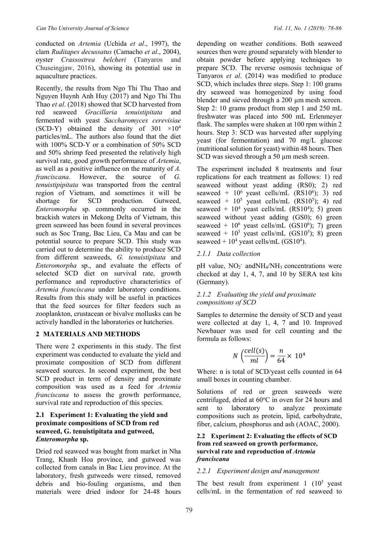conducted on *Artemia* (Uchida *et al*., 1997), the clam *Ruditapes decussatus* (Camacho *et al*., 2004), oyster *Crassostrea belcheri* (Tanyaros and Chuseingjaw, 2016), showing its potential use in aquaculture practices.

Recently, the results from Ngo Thi Thu Thao and Nguyen Huynh Anh Huy (2017) and Ngo Thi Thu Thao *et al*. (2018) showed that SCD harvested from red seaweed *Gracillaria tenuistipitata* and fermented with yeast *Saccharomyces cerevisiae* (SCD-Y) obtained the density of  $301 \times 10^4$ particles/mL. The authors also found that the diet with 100% SCD-Y or a combination of 50% SCD and 50% shrimp feed presented the relatively high survival rate, good growth performance of *Artemia*, as well as a positive influence on the maturity of *A. franciscana*. However, the source of *G. tenuistipipitata* was transported from the central region of Vietnam, and sometimes it will be shortage for SCD production. Gutweed, *Enteromorpha* sp. commonly occurred in the brackish waters in Mekong Delta of Vietnam, this green seaweed has been found in several provinces such as Soc Trang, Bac Lieu, Ca Mau and can be potential source to prepare SCD. This study was carried out to determine the ability to produce SCD from different seaweeds, *G. tenuistipitata* and *Enteromorpha* sp., and evaluate the effects of selected SCD diet on survival rate, growth performance and reproductive characteristics of *Artemia franciscana* under laboratory conditions. Results from this study will be useful in practices that the feed sources for filter feeders such as zooplankton, crustacean or bivalve mollusks can be actively handled in the laboratories or hatcheries.

## **2 MATERIALS AND METHODS**

There were 2 experiments in this study. The first experiment was conducted to evaluate the yield and proximate composition of SCD from different seaweed sources. In second experiment, the best SCD product in term of density and proximate composition was used as a feed for *Artemia franciscana* to assess the growth performance, survival rate and reproduction of this species.

### **2.1 Experiment 1: Evaluating the yield and proximate compositions of SCD from red seaweed, G. tenuistipitata and gutweed,**  *Enteromorpha* **sp.**

Dried red seaweed was bought from market in Nha Trang, Khanh Hoa province, and gutweed was collected from canals in Bac Lieu province. At the laboratory, fresh gutweeds were rinsed, removed debris and bio-fouling organisms, and then materials were dried indoor for 24-48 hours depending on weather conditions. Both seaweed sources then were ground separately with blender to obtain powder before applying techniques to prepare SCD. The reverse osmosis technique of Tanyaros *et al*. (2014) was modified to produce SCD, which includes three steps. Step 1: 100 grams dry seaweed was homogenized by using food blender and sieved through a 200  $\mu$ m mesh screen. Step 2: 10 grams product from step 1 and 250 mL freshwater was placed into 500 mL Erlenmeyer flask. The samples were shaken at 100 rpm within 2 hours. Step 3: SCD was harvested after supplying yeast (for fermentation) and 70 mg/L glucose (nutritional solution for yeast) within 48 hours. Then SCD was sieved through a 50 µm mesh screen.

The experiment included 8 treatments and four replications for each treatment as follows: 1) red seaweed without yeast adding (RS0); 2) red seaweed +  $10^6$  yeast cells/mL (RS10<sup>6</sup>); 3) red seaweed +  $10^5$  yeast cells/mL (RS10<sup>5</sup>); 4) red seaweed +  $10^4$  yeast cells/mL (RS10<sup>4</sup>); 5) green seaweed without yeast adding (GS0); 6) green seaweed +  $10^6$  yeast cells/mL (GS10<sup>6</sup>); 7) green seaweed +  $10^5$  yeast cells/mL (GS10<sup>5</sup>); 8) green seaweed +  $10^4$  yeast cells/mL (GS10<sup>4</sup>).

## *2.1.1 Data collection*

pH value, NO<sub>2</sub> andNH<sub>4</sub>/NH<sub>3</sub> concentrations were checked at day 1, 4, 7, and 10 by SERA test kits (Germany).

### *2.1.2 Evaluating the yield and proximate compositions of SCD*

Samples to determine the density of SCD and yeast were collected at day 1, 4, 7 and 10. Improved Newbauer was used for cell counting and the formula as follows:

$$
N\left(\frac{cell(s)}{ml}\right) = \frac{n}{64} \times 10^4
$$

Where: n is total of SCD/yeast cells counted in 64 small boxes in counting chamber.

Solutions of red or green seaweeds were centrifuged, dried at 60°C in oven for 24 hours and sent to laboratory to analyze proximate compositions such as protein, lipid, carbohydrate, fiber, calcium, phosphorus and ash (AOAC, 2000).

#### **2.2 Experiment 2: Evaluating the effects of SCD from red seaweed on growth performance, survival rate and reproduction of** *Artemia franciscana*

## *2.2.1 Experiment design and management*

The best result from experiment  $1 \ (10^5 \text{ yeast})$ cells/mL in the fermentation of red seaweed to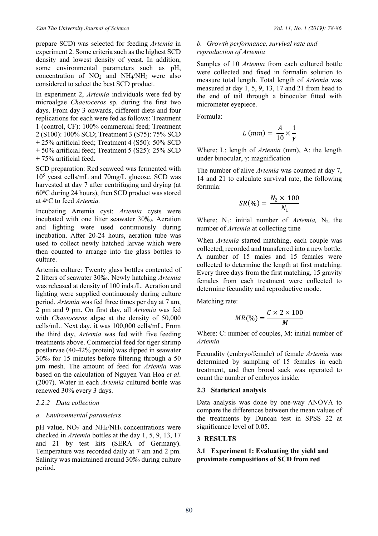prepare SCD) was selected for feeding *Artemia* in experiment 2. Some criteria such as the highest SCD density and lowest density of yeast. In addition, some environmental parameters such as pH, concentration of  $NO<sub>2</sub>$  and  $NH<sub>4</sub>/NH<sub>3</sub>$  were also considered to select the best SCD product.

In experiment 2, *Artemia* individuals were fed by microalgae *Chaetoceros* sp. during the first two days. From day 3 onwards, different diets and four replications for each were fed as follows: Treatment 1 (control, CF): 100% commercial feed; Treatment 2 (S100): 100% SCD; Treatment 3 (S75): 75% SCD + 25% artificial feed; Treatment 4 (S50): 50% SCD + 50% artificial feed; Treatment 5 (S25): 25% SCD + 75% artificial feed.

SCD preparation: Red seaweed was fermented with 105 yeast cells/mL and 70mg/L glucose. SCD was harvested at day 7 after centrifuging and drying (at 60°C during 24 hours), then SCD product was stored at 4o C to feed *Artemia.*

Incubating Artemia cyst: *Artemia* cysts were incubated with one litter seawater 30‰. Aeration and lighting were used continuously during incubation. After 20-24 hours, aeration tube was used to collect newly hatched larvae which were then counted to arrange into the glass bottles to culture.

Artemia culture: Twenty glass bottles contented of 2 litters of seawater 30‰. Newly hatching *Artemia* was released at density of 100 inds./L. Aeration and lighting were supplied continuously during culture period. *Artemia* was fed three times per day at 7 am, 2 pm and 9 pm. On first day, all *Artemia* was fed with *Chaetoceros* algae at the density of 50,000 cells/mL. Next day, it was 100,000 cells/mL. From the third day, *Artemia* was fed with five feeding treatments above. Commercial feed for tiger shrimp postlarvae (40-42% protein) was dipped in seawater 30‰ for 15 minutes before filtering through a 50 µm mesh. The amount of feed for *Artemia* was based on the calculation of Nguyen Van Hoa *et al*. (2007). Water in each *Artemia* cultured bottle was renewed 30% every 3 days.

#### *2.2.2 Data collection*

#### *a. Environmental parameters*

pH value,  $NO<sub>2</sub>$  and  $NH<sub>4</sub>/NH<sub>3</sub>$  concentrations were checked in *Artemia* bottles at the day 1, 5, 9, 13, 17 and 21 by test kits (SERA of Germany). Temperature was recorded daily at 7 am and 2 pm. Salinity was maintained around 30‰ during culture period.

#### *b. Growth performance, survival rate and reproduction of Artemia*

Samples of 10 *Artemia* from each cultured bottle were collected and fixed in formalin solution to measure total length. Total length of *Artemia* was measured at day 1, 5, 9, 13, 17 and 21 from head to the end of tail through a binocular fitted with micrometer eyepiece.

Formula:

$$
L\ (mm) = \frac{A}{10} \times \frac{1}{\gamma}
$$

Where: L: length of *Artemia* (mm), A: the length under binocular, γ: magnification

The number of alive *Artemia* was counted at day 7, 14 and 21 to calculate survival rate, the following formula:

$$
SR(\%) = \frac{N_2 \times 100}{N_1}
$$

Where:  $N_1$ : initial number of *Artemia*,  $N_2$ : the number of *Artemia* at collecting time

When *Artemia* started matching, each couple was collected, recorded and transferred into a new bottle. A number of 15 males and 15 females were collected to determine the length at first matching. Every three days from the first matching, 15 gravity females from each treatment were collected to determine fecundity and reproductive mode.

Matching rate:

$$
MR(\%) = \frac{C \times 2 \times 100}{M}
$$

Where: C: number of couples, M: initial number of *Artemia*

Fecundity (embryo/female) of female *Artemia* was determined by sampling of 15 females in each treatment, and then brood sack was operated to count the number of embryos inside.

#### **2.3 Statistical analysis**

Data analysis was done by one-way ANOVA to compare the differences between the mean values of the treatments by Duncan test in SPSS 22 at significance level of 0.05.

## **3 RESULTS**

**3.1 Experiment 1: Evaluating the yield and proximate compositions of SCD from red**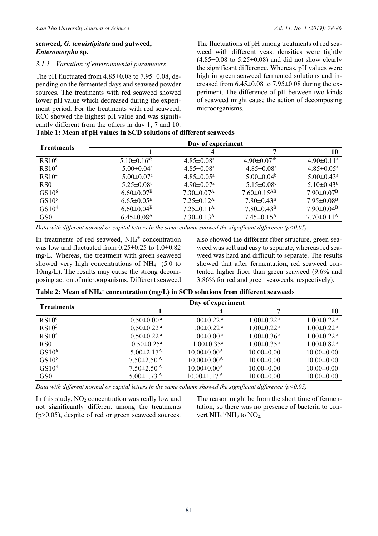### **seaweed***, G. tenuistipitata* **and gutweed,**  *Enteromorpha* **sp.**

#### *3.1.1 Variation of environmental parameters*

The pH fluctuated from  $4.85\pm0.08$  to  $7.95\pm0.08$ , depending on the fermented days and seaweed powder sources. The treatments with red seaweed showed lower pH value which decreased during the experiment period. For the treatments with red seaweed, RC0 showed the highest pH value and was significantly different from the others in day 1, 7 and 10.

**Table 1: Mean of pH values in SCD solutions of different seaweeds** 

The fluctuations of pH among treatments of red seaweed with different yeast densities were tightly  $(4.85\pm0.08$  to  $5.25\pm0.08$ ) and did not show clearly the significant difference. Whereas, pH values were high in green seaweed fermented solutions and increased from  $6.45\pm0.08$  to  $7.95\pm0.08$  during the experiment. The difference of pH between two kinds of seaweed might cause the action of decomposing microorganisms.

|                   |                               | Day of experiment            |                               |                              |
|-------------------|-------------------------------|------------------------------|-------------------------------|------------------------------|
| <b>Treatments</b> |                               |                              |                               | 10                           |
| RS10 <sup>6</sup> | $5.10 \pm 0.16$ <sup>ab</sup> | $4.85 \pm 0.08$ <sup>a</sup> | $4.90 \pm 0.07$ <sup>ab</sup> | $4.90 \pm 0.11$ <sup>a</sup> |
| RS10 <sup>5</sup> | $5.00 \pm 0.04$ <sup>a</sup>  | $4.85 \pm 0.08$ <sup>a</sup> | $4.85 \pm 0.08^{\text{a}}$    | $4.85 \pm 0.05^{\text{a}}$   |
| RS10 <sup>4</sup> | $5.00 \pm 0.07$ <sup>a</sup>  | $4.85 \pm 0.05^{\text{a}}$   | $5.00 \pm 0.04^b$             | $5.00 \pm 0.43$ <sup>a</sup> |
| R <sub>S0</sub>   | $5.25 \pm 0.08$ <sup>b</sup>  | $4.90 \pm 0.07$ <sup>a</sup> | 5.15 $\pm$ 0.08 $\rm{c}$      | $5.10\pm0.43^{\rm b}$        |
| GS10 <sup>6</sup> | $6.60 \pm 0.07$ <sup>B</sup>  | $7.30 \pm 0.07$ <sup>A</sup> | $7.60 \pm 0.15$ <sup>AB</sup> | $7.90 \pm 0.07^{\rm B}$      |
| GS10 <sup>5</sup> | $6.65 \pm 0.05^{\rm B}$       | $7.25 \pm 0.12^{\rm A}$      | $7.80 \pm 0.43$ <sup>B</sup>  | $7.95 \pm 0.08^{\rm B}$      |
| GS10 <sup>4</sup> | $6.60 \pm 0.04$ <sup>B</sup>  | $7.25 \pm 0.11^{\rm A}$      | $7.80 \pm 0.43^{\rm B}$       | $7.90 \pm 0.04^{\rm B}$      |
| GS <sub>0</sub>   | $6.45 \pm 0.08$ <sup>A</sup>  | $7.30\pm0.13^{\rm A}$        | $7.45 \pm 0.15^{\text{A}}$    | $7.70 \pm 0.11^{\text{A}}$   |

*Data with different normal or capital letters in the same column showed the significant difference (p<0.05)*

In treatments of red seaweed, NH<sub>4</sub>+ concentration was low and fluctuated from 0.25±0.25 to 1.0±0.82 mg/L. Whereas, the treatment with green seaweed showed very high concentrations of  $NH_4^+$  (5.0 to 10mg/L). The results may cause the strong decomposing action of microorganisms. Different seaweed

also showed the different fiber structure, green seaweed was soft and easy to separate, whereas red seaweed was hard and difficult to separate. The results showed that after fermentation, red seaweed contented higher fiber than green seaweed (9.6% and 3.86% for red and green seaweeds, respectively).

| Table 2: Mean of NH <sub>4</sub> + concentration (mg/L) in SCD solutions from different seaweeds |  |
|--------------------------------------------------------------------------------------------------|--|
|--------------------------------------------------------------------------------------------------|--|

| <b>Treatments</b> |                              | Day of experiment            |                              |                              |
|-------------------|------------------------------|------------------------------|------------------------------|------------------------------|
|                   |                              |                              |                              | 10                           |
| RS10 <sup>6</sup> | $0.50 \pm 0.00$ <sup>a</sup> | $1.00 \pm 0.22$ <sup>a</sup> | $1.00 \pm 0.22$ <sup>a</sup> | $1.00 \pm 0.22$ <sup>a</sup> |
| RS10 <sup>5</sup> | $0.50 \pm 0.22$ <sup>a</sup> | $1.00 \pm 0.22$ <sup>a</sup> | $1.00 \pm 0.22$ <sup>a</sup> | $1.00 \pm 0.22$ <sup>a</sup> |
| RS10 <sup>4</sup> | $0.50 \pm 0.22$ <sup>a</sup> | $1.00 \pm 0.00$ <sup>a</sup> | $1.00 \pm 0.36$ <sup>a</sup> | $1.00 \pm 0.22$ <sup>a</sup> |
| R <sub>S0</sub>   | $0.50 \pm 0.25^{\text{a}}$   | $1.00 \pm 0.35^{\text{a}}$   | $1.00 \pm 0.35$ <sup>a</sup> | $1.00 \pm 0.82$ <sup>a</sup> |
| GS10 <sup>6</sup> | $5.00 \pm 2.17$ <sup>A</sup> | $10.00 \pm 0.00^{\rm A}$     | $10.00 \pm 0.00$             | $10.00 \pm 0.00$             |
| GS10 <sup>5</sup> | $7.50 \pm 2.50$ <sup>A</sup> | $10.00 \pm 0.00^{\text{A}}$  | $10.00 \pm 0.00$             | $10.00 \pm 0.00$             |
| GS10 <sup>4</sup> | $7.50\pm2.50^{\mathrm{A}}$   | $10.00 \pm 0.00^{\rm A}$     | $10.00 \pm 0.00$             | $10.00 \pm 0.00$             |
| GS <sub>0</sub>   | $5.00\pm1.73$ <sup>A</sup>   | $10.00 \pm 1.17^{\text{A}}$  | $10.00 \pm 0.00$             | $10.00 \pm 0.00$             |

*Data with different normal or capital letters in the same column showed the significant difference (p<0.05)*

In this study,  $NO<sub>2</sub>$  concentration was really low and not significantly different among the treatments  $(p>0.05)$ , despite of red or green seaweed sources.

The reason might be from the short time of fermentation, so there was no presence of bacteria to convert  $NH_4^+/\text{NH}_3$  to  $NO_2$ .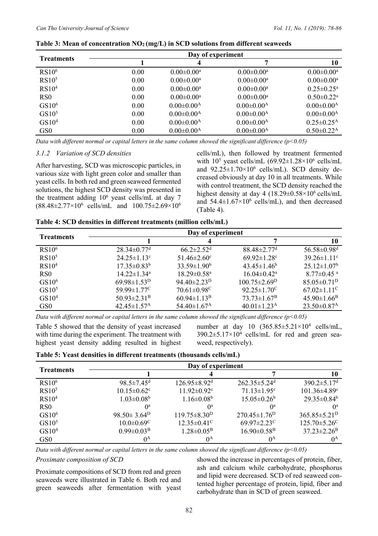| <b>Treatments</b> |      | Day of experiment          |                            |                              |
|-------------------|------|----------------------------|----------------------------|------------------------------|
|                   |      | 4                          | 7                          | 10                           |
| RS10 <sup>6</sup> | 0.00 | $0.00 \pm 0.00^{\rm a}$    | $0.00 \pm 0.00^{\text{a}}$ | $0.00 \pm 0.00^a$            |
| RS10 <sup>5</sup> | 0.00 | $0.00 \pm 0.00^{\text{a}}$ | $0.00 \pm 0.00^{\text{a}}$ | $0.00 \pm 0.00^{\rm a}$      |
| RS10 <sup>4</sup> | 0.00 | $0.00 \pm 0.00^{\text{a}}$ | $0.00 \pm 0.00^{\text{a}}$ | $0.25 \pm 0.25^{\mathrm{a}}$ |
| RS <sub>0</sub>   | 0.00 | $0.00 \pm 0.00^a$          | $0.00 \pm 0.00^a$          | $0.50 \pm 0.22$ <sup>a</sup> |
| GS10 <sup>6</sup> | 0.00 | $0.00 \pm 0.00^{\rm A}$    | $0.00 \pm 0.00^{\rm A}$    | $0.00 \pm 0.00^{\rm A}$      |
| GS10 <sup>5</sup> | 0.00 | $0.00 \pm 0.00^{\rm A}$    | $0.00 \pm 0.00^{\rm A}$    | $0.00 \pm 0.00^{\rm A}$      |
| GS10 <sup>4</sup> | 0.00 | $0.00 \pm 0.00^{\rm A}$    | $0.00 \pm 0.00^{\rm A}$    | $0.25 \pm 0.25$ <sup>A</sup> |
| GS <sub>0</sub>   | 0.00 | $0.00 \pm 0.00^{\rm A}$    | $0.00 \pm 0.00^{\rm A}$    | $0.50 \pm 0.22$ <sup>A</sup> |

| Table 3: Mean of concentration $NO2(mg/L)$ in SCD solutions from different seaweeds |  |  |  |  |  |  |  |  |
|-------------------------------------------------------------------------------------|--|--|--|--|--|--|--|--|
|-------------------------------------------------------------------------------------|--|--|--|--|--|--|--|--|

*Data with different normal or capital letters in the same column showed the significant difference (p<0.05)*

#### *3.1.2 Variation of SCD densities*

After harvesting, SCD was microscopic particles, in various size with light green color and smaller than yeast cells. In both red and green seaweed fermented solutions, the highest SCD density was presented in the treatment adding  $10^6$  yeast cells/mL at day 7  $(88.48\pm2.77\times10^6 \text{ cells/mL} \text{ and } 100.75\pm2.69\times10^6 \text{ cm}$ 

cells/mL), then followed by treatment fermented with  $10^5$  yeast cells/mL  $(69.92 \pm 1.28 \times 10^6 \text{ cells/mL}$ and 92.25±1.70×10<sup>6</sup> cells/mL). SCD density decreased obviously at day 10 in all treatments. While with control treatment, the SCD density reached the highest density at day 4 ( $18.29 \pm 0.58 \times 10^6$  cells/mL and  $54.4 \pm 1.67 \times 10^6$  cells/mL), and then decreased (Table 4).

| Table 4: SCD densities in different treatments (million cells/mL) |  |  |  |  |  |
|-------------------------------------------------------------------|--|--|--|--|--|
|-------------------------------------------------------------------|--|--|--|--|--|

|                   | Day of experiment             |                               |                               |                               |  |  |
|-------------------|-------------------------------|-------------------------------|-------------------------------|-------------------------------|--|--|
| <b>Treatments</b> |                               |                               |                               | 10                            |  |  |
| RS10 <sup>6</sup> | $28.34 \pm 0.77$ <sup>d</sup> | $66.2 \pm 2.52$ <sup>d</sup>  | $88.48 \pm 2.77$ <sup>d</sup> | $56.58 \pm 0.98$ <sup>d</sup> |  |  |
| RS10 <sup>5</sup> | $24.25 \pm 1.13$ °            | $51.46 \pm 2.60$ <sup>c</sup> | $69.92 \pm 1.28$ <sup>c</sup> | $39.26 \pm 1.11$ °            |  |  |
| RS10 <sup>4</sup> | $17.35 \pm 0.83^b$            | $33.59 \pm 1.90^b$            | $43.45 \pm 1.46^b$            | $25.12 \pm 1.07$ <sup>b</sup> |  |  |
| RS0               | $14.22 \pm 1.34$ <sup>a</sup> | $18.29 \pm 0.58$ <sup>a</sup> | $16.04 \pm 0.42^{\text{a}}$   | $8.77 \pm 0.45$ <sup>a</sup>  |  |  |
| GS10 <sup>6</sup> | $69.98 \pm 1.53^D$            | 94.40 $\pm$ 2.23 <sup>D</sup> | $100.75 \pm 2.69^D$           | $85.05 \pm 0.71^D$            |  |  |
| GS10 <sup>5</sup> | 59.99 $\pm$ 1.77 <sup>C</sup> | $70.61 \pm 0.98$ <sup>C</sup> | $92.25 \pm 1.70$ <sup>C</sup> | $67.02 \pm 1.11$ <sup>C</sup> |  |  |
| GS10 <sup>4</sup> | $50.93 \pm 2.31$ <sup>B</sup> | $60.94 \pm 1.13^{\rm B}$      | $73.73 \pm 1.67^B$            | $45.90 \pm 1.66$ <sup>B</sup> |  |  |
| GS <sub>0</sub>   | $42.45 \pm 1.57$ <sup>A</sup> | 54.40 $\pm$ 1.67 <sup>A</sup> | $40.01 \pm 1.23$ <sup>A</sup> | $23.50 \pm 0.87$ <sup>A</sup> |  |  |

*Data with different normal or capital letters in the same column showed the significant difference (p<0.05)* 

Table 5 showed that the density of yeast increased with time during the experiment. The treatment with highest yeast density adding resulted in highest

number at day 10  $(365.85 \pm 5.21 \times 10^4 \text{ cells/mL}$ ,  $390.2 \pm 5.17 \times 10^4$  cells/mL for red and green seaweed, respectively).

| Table 5: Yeast densities in different treatments (thousands cells/mL) |  |  |
|-----------------------------------------------------------------------|--|--|
|-----------------------------------------------------------------------|--|--|

| <b>Treatments</b> |                               | Day of experiment              |                                |                                |
|-------------------|-------------------------------|--------------------------------|--------------------------------|--------------------------------|
|                   |                               |                                |                                | 10                             |
| RS10 <sup>6</sup> | $98.5 \pm 7.45$ <sup>d</sup>  | $126.95\pm8.92$ <sup>d</sup>   | $262.35 \pm 5.24$ <sup>d</sup> | $390.2 \pm 5.17$ <sup>d</sup>  |
| RS10 <sup>5</sup> | $10.15 \pm 0.62$ <sup>c</sup> | $11.92 \pm 0.92$ <sup>c</sup>  | $71.13 \pm 1.95$ <sup>c</sup>  | $101.36 \pm 4.89$ <sup>c</sup> |
| RS10 <sup>4</sup> | $1.03 \pm 0.08^b$             | $1.16 \pm 0.08^b$              | $15.05 \pm 0.26^b$             | $29.35 \pm 0.84^b$             |
| R <sub>S0</sub>   | $\theta$ <sup>a</sup>         | $\mathbf{0}^{\mathrm{a}}$      | $^{0a}$                        | O <sup>a</sup>                 |
| GS10 <sup>6</sup> | $98.50 \pm 3.64^{\text{D}}$   | $119.75 \pm 8.30^{\mathrm{D}}$ | $270.45 \pm 1.76$ <sup>D</sup> | $365.85 \pm 5.21^{\mathrm{D}}$ |
| GS10 <sup>5</sup> | $10.0 \pm 0.69$ <sup>C</sup>  | $12.35 \pm 0.41$ <sup>C</sup>  | 69.97 $\pm$ 2.23 <sup>C</sup>  | $125.70 \pm 5.26$ <sup>C</sup> |
| GS10 <sup>4</sup> | $0.99 \pm 0.03^{\rm B}$       | $1.28 \pm 0.05^{\rm B}$        | $16.90\pm0.58^{\rm B}$         | $37.23 \pm 2.26^{\rm B}$       |
| GS <sub>0</sub>   | $0^{\rm A}$                   | $0^{\rm A}$                    | $0^{\rm A}$                    | $0^{\rm A}$                    |

*Data with different normal or capital letters in the same column showed the significant difference (p<0.05)* 

#### *Proximate composition of SCD*

Proximate compositions of SCD from red and green seaweeds were illustrated in Table 6. Both red and green seaweeds after fermentation with yeast showed the increase in percentages of protein, fiber, ash and calcium while carbohydrate, phosphorus and lipid were decreased. SCD of red seaweed contented higher percentage of protein, lipid, fiber and carbohydrate than in SCD of green seaweed.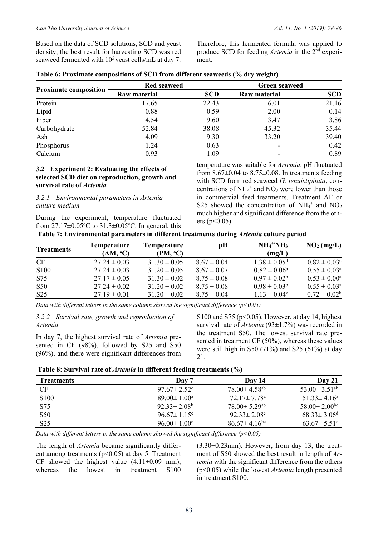Therefore, this fermented formula was applied to produce SCD for feeding *Artemia* in the 2nd experiment.

| Table 6: Proximate compositions of SCD from different seaweeds (% dry weight) |  |  |  |  |
|-------------------------------------------------------------------------------|--|--|--|--|
|-------------------------------------------------------------------------------|--|--|--|--|

|                              | <b>Red seaweed</b>  |            | <b>Green seaweed</b> |            |
|------------------------------|---------------------|------------|----------------------|------------|
| <b>Proximate composition</b> | <b>Raw material</b> | <b>SCD</b> | Raw material         | <b>SCD</b> |
| Protein                      | 17.65               | 22.43      | 16.01                | 21.16      |
| Lipid                        | 0.88                | 0.59       | 2.00                 | 0.14       |
| Fiber                        | 4.54                | 9.60       | 3.47                 | 3.86       |
| Carbohydrate                 | 52.84               | 38.08      | 45.32                | 35.44      |
| Ash                          | 4.09                | 9.30       | 33.20                | 39.40      |
| Phosphorus                   | 1.24                | 0.63       |                      | 0.42       |
| Calcium                      | 0.93                | 1.09       |                      | 0.89       |

#### **3.2 Experiment 2: Evaluating the effects of selected SCD diet on reproduction, growth and survival rate of** *Artemia*

*3.2.1 Environmental parameters in Artemia culture medium* 

During the experiment, temperature fluctuated from  $27.17 \pm 0.05$ °C to  $31.3 \pm 0.05$ °C. In general, this temperature was suitable for *Artemia.* pH fluctuated from  $8.67\pm0.04$  to  $8.75\pm0.08$ . In treatments feeding with SCD from red seaweed *G. tenuistipitata*, concentrations of  $NH_4^+$  and  $NO_2$  were lower than those in commercial feed treatments. Treatment AF or S25 showed the concentration of  $NH_4^+$  and  $NO_2$ much higher and significant difference from the others ( $p<0.05$ ).

| <b>Treatments</b> | <b>Temperature</b> | Temperature      | рH              | $NH4+/NH3$                   | $NO2$ (mg/L)               |
|-------------------|--------------------|------------------|-----------------|------------------------------|----------------------------|
|                   | $(AM, {}^oC)$      | $(PM, {}^oC)$    |                 | (mg/L)                       |                            |
| <b>CF</b>         | $27.24 \pm 0.03$   | $31.30 \pm 0.05$ | $8.67 \pm 0.04$ | $1.38 \pm 0.05$ <sup>d</sup> | $0.82 \pm 0.03^{\circ}$    |
| S <sub>100</sub>  | $27.24 \pm 0.03$   | $31.20 \pm 0.05$ | $8.67 \pm 0.07$ | $0.82 \pm 0.06^{\circ}$      | $0.55 \pm 0.03^{\circ}$    |
| S75               | $27.17 \pm 0.05$   | $31.30 \pm 0.02$ | $8.75 \pm 0.08$ | $0.97 \pm 0.02^{\rm b}$      | $0.53 \pm 0.00^{\circ}$    |
| S <sub>50</sub>   | $27.24 \pm 0.02$   | $31.20 \pm 0.02$ | $8.75 \pm 0.08$ | $0.98 \pm 0.03^b$            | $0.55 \pm 0.03^{\text{a}}$ |
| S <sub>25</sub>   | $27.19 \pm 0.01$   | $31.20 \pm 0.02$ | $8.75 \pm 0.04$ | $1.13 \pm 0.04^{\circ}$      | $0.72 \pm 0.02^b$          |

*Data with different letters in the same column showed the significant difference (p<0.05)* 

*3.2.2 Survival rate, growth and reproduction of Artemia* 

In day 7, the highest survival rate of *Artemia* presented in CF (98%), followed by S25 and S50 (96%), and there were significant differences from

S100 and S75 ( $p<0.05$ ). However, at day 14, highest survival rate of *Artemia* (93±1.7%) was recorded in the treatment S50. The lowest survival rate presented in treatment CF (50%), whereas these values were still high in S50 (71%) and S25 (61%) at day 21.

 **Table 8: Survival rate of** *Artemia* **in different feeding treatments (%)** 

| <b>Treatments</b> | Day 7                    | Day 14                         | Dav 21                         |
|-------------------|--------------------------|--------------------------------|--------------------------------|
| CF.               | $97.67 \pm 2.52$ °       | $78.00 \pm 4.58$ <sup>ab</sup> | $53.00 \pm 3.51$ <sup>ab</sup> |
| S <sub>100</sub>  | $89.00 \pm 1.00^{\circ}$ | $72.17 \pm 7.78$ <sup>a</sup>  | $51.33 \pm 4.16^a$             |
| S75               | $92.33 \pm 2.08^{\rm b}$ | $78.00 \pm 5.29$ <sup>ab</sup> | $58.00 \pm 2.00$ <sup>bc</sup> |
| S <sub>50</sub>   | $96.67 \pm 1.15$ °       | $92.33 \pm 2.08$ <sup>c</sup>  | $68.33 \pm 3.06$ <sup>d</sup>  |
| S <sub>25</sub>   | $96.00 \pm 1.00^{\circ}$ | $86.67 \pm 4.16$ <sup>bc</sup> | $63.67 \pm 5.51$ °             |

*Data with different letters in the same column showed the significant difference (p<0.05)* 

The length of *Artemia* became significantly different among treatments ( $p<0.05$ ) at day 5. Treatment CF showed the highest value  $(4.11\pm0.09 \text{ mm})$ , whereas the lowest in treatment S100

 $(3.30\pm0.23$ mm). However, from day 13, the treatment of S50 showed the best result in length of *Artemia* with the significant difference from the others (p<0.05) while the lowest *Artemia* length presented in treatment S100.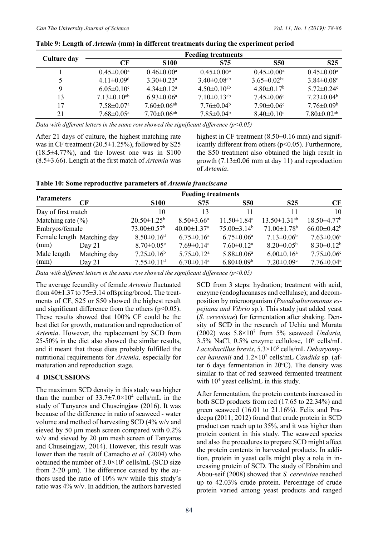|             | <b>Feeding treatments</b>     |                               |                               |                               |                               |  |
|-------------|-------------------------------|-------------------------------|-------------------------------|-------------------------------|-------------------------------|--|
| Culture day | CF                            | <b>S100</b>                   | S75                           | <b>S50</b>                    | S <sub>25</sub>               |  |
|             | $0.45 \pm 0.00^{\text{a}}$    | $0.46 \pm 0.00^{\circ}$       | $0.45 \pm 0.00^{\circ}$       | $0.45 \pm 0.00^{\circ}$       | $0.45 \pm 0.00^{\text{a}}$    |  |
| 5           | $4.11 \pm 0.09$ <sup>d</sup>  | $3.30\pm0.23^{\rm a}$         | $3.40 \pm 0.08$ <sup>ab</sup> | $3.65 \pm 0.02$ <sup>bc</sup> | $3.84 \pm 0.08$ <sup>c</sup>  |  |
| 9           | $6.05 \pm 0.10$ <sup>c</sup>  | $4.34 \pm 0.12^a$             | $4.50\pm0.10^{ab}$            | $4.80\pm0.17b$                | $5.72 \pm 0.24$ °             |  |
| 13          | $7.13 \pm 0.10$ <sup>ab</sup> | $6.93 \pm 0.06^{\rm a}$       | $7.10\pm0.13^{ab}$            | $7.45 \pm 0.06$ <sup>c</sup>  | $7.23 \pm 0.04^b$             |  |
| 17          | $7.58 \pm 0.07$ <sup>a</sup>  | $7.60 \pm 0.06$ <sup>ab</sup> | $7.76 \pm 0.04^{\rm b}$       | $7.90 \pm 0.06$ <sup>c</sup>  | $7.76 \pm 0.09^b$             |  |
| 21          | $7.68 \pm 0.05^{\text{a}}$    | $7.70 \pm 0.06$ <sup>ab</sup> | $7.85 \pm 0.04^b$             | $8.40 \pm 0.10$ <sup>c</sup>  | $7.80 \pm 0.02$ <sup>ab</sup> |  |

| Table 9: Length of Artemia (mm) in different treatments during the experiment period |  |  |
|--------------------------------------------------------------------------------------|--|--|
|                                                                                      |  |  |

*Data with different letters in the same row showed the significant difference (p<0.05)*

After 21 days of culture, the highest matching rate was in CF treatment  $(20.5\pm1.25\%)$ , followed by S25 (18.5±4.77%), and the lowest one was in S100 (8.5±3.66). Length at the first match of *Artemia* was

highest in CF treatment (8.50±0.16 mm) and significantly different from others  $(p<0.05)$ . Furthermore, the S50 treatment also obtained the high result in growth  $(7.13\pm0.06$  mm at day 11) and reproduction of *Artemia*.

|                       | <b>Feeding treatments</b>  |                               |                               |                               |                               |                               |
|-----------------------|----------------------------|-------------------------------|-------------------------------|-------------------------------|-------------------------------|-------------------------------|
| <b>Parameters</b>     | CF                         | <b>S100</b>                   | S75                           | <b>S50</b>                    | <b>S25</b>                    | CF                            |
| Day of first match    |                            | 10                            | 13                            | 11                            |                               | 10                            |
| Matching rate $(\% )$ |                            | $20.50 \pm 1.25^b$            | $8.50 \pm 3.66^{\rm a}$       | $11.50 \pm 1.84$ <sup>a</sup> | $13.50 \pm 1.31^{ab}$         | $18.50 \pm 4.77$ <sup>b</sup> |
| Embryos/female        |                            | $73.00 \pm 0.57$ <sup>b</sup> | $40.00 \pm 1.37$ <sup>a</sup> | $75.00\pm3.14^b$              | $71.00 \pm 1.78$ <sup>b</sup> | $66.00 \pm 0.42$ <sup>b</sup> |
|                       | Female length Matching day | $8.50 \pm 0.16$ <sup>d</sup>  | $6.75 \pm 0.16^a$             | $6.75 \pm 0.06^{\text{a}}$    | $7.13 \pm 0.06^b$             | $7.63 \pm 0.06$ <sup>c</sup>  |
| (mm)                  | Day $21$                   | $8.70 \pm 0.05$ <sup>c</sup>  | $7.69 \pm 0.14$ <sup>a</sup>  | $7.60 \pm 0.12$ <sup>a</sup>  | $8.20 \pm 0.05^{\rm b}$       | $8.30 \pm 0.12^b$             |
| Male length           | Matching day               | $7.25 \pm 0.16^b$             | $5.75 \pm 0.12^a$             | $5.88 \pm 0.06^a$             | $6.00 \pm 0.16^a$             | $7.75 \pm 0.06$ c             |
| (mm)                  | Day $21$                   | $7.55 \pm 0.11$ <sup>d</sup>  | $6.70 \pm 0.14$ <sup>a</sup>  | $6.80 \pm 0.09^b$             | $7.20 \pm 0.09$ <sup>c</sup>  | $7.76 \pm 0.04$ <sup>e</sup>  |

*Data with different letters in the same row showed the significant difference (p<0.05)*

The average fecundity of female *Artemia* fluctuated from  $40\pm1.37$  to  $75\pm3.14$  offspring/brood. The treatments of CF, S25 or S50 showed the highest result and significant difference from the others  $(p<0.05)$ . These results showed that 100% CF could be the best diet for growth, maturation and reproduction of *Artemia*. However, the replacement by SCD from 25-50% in the diet also showed the similar results, and it meant that those diets probably fulfilled the nutritional requirements for *Artemia,* especially for maturation and reproduction stage.

## **4 DISCUSSIONS**

The maximum SCD density in this study was higher than the number of  $33.7 \pm 7.0 \times 10^4$  cells/mL in the study of Tanyaros and Chuseingjaw (2016). It was because of the difference in ratio of seaweed - water volume and method of harvesting SCD (4% w/v and sieved by 50  $\mu$ m mesh screen compared with 0.2% w/v and sieved by 20  $\mu$ m mesh screen of Tanyaros and Chuseingjaw, 2014). However, this result was lower than the result of Camacho *et al.* (2004) who obtained the number of  $3.0 \times 10^8$  cells/mL (SCD size from 2-20 µm). The difference caused by the authors used the ratio of 10% w/v while this study's ratio was 4% w/v. In addition, the authors harvested

SCD from 3 steps: hydration; treatment with acid, enzyme (endoglucanases and cellulase); and decomposition by microorganism (*Pseudoalteromonas espejiana and Vibrio* sp.). This study just added yeast (*S. cerevisiae*) for fermentation after shaking. Density of SCD in the research of Uchia and Murata (2002) was 5.8×107 from 5% seaweed *Undaria,* 3.5% NaCl, 0.5% enzyme cellulose, 109 cells/mL *Lactobacillus brevis*, 5.3×105 cells/mL *Debaryomyces hansenii* and 1.2×107 cells/mL *Candida* sp. (after 6 days fermentation in  $20^{\circ}$ C). The density was similar to that of red seaweed fermented treatment with  $10<sup>4</sup>$  yeast cells/mL in this study.

After fermentation, the protein contents increased in both SCD products from red (17.65 to 22.34%) and green seaweed (16.01 to 21.16%). Felix and Pradeepa (2011; 2012) found that crude protein in SCD product can reach up to 35%, and it was higher than protein content in this study. The seaweed species and also the procedures to prepare SCD might affect the protein contents in harvested products. In addition, protein in yeast cells might play a role in increasing protein of SCD. The study of Ebrahim and Abou-seif (2008) showed that *S. cerevisiae* reached up to 42.03% crude protein. Percentage of crude protein varied among yeast products and ranged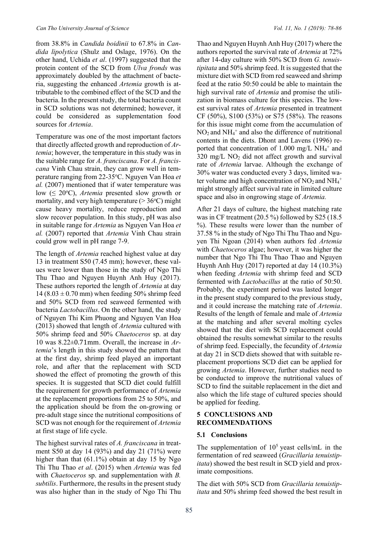from 38.8% in *Candida boidinii* to 67.8% in *Candida lipolytica* (Shulz and Oslage, 1976). On the other hand, Uchida *et al*. (1997) suggested that the protein content of the SCD from *Ulva fronds* was approximately doubled by the attachment of bacteria, suggesting the enhanced *Artemia* growth is attributable to the combined effect of the SCD and the bacteria. In the present study, the total bacteria count in SCD solutions was not determined; however, it could be considered as supplementation food sources for *Artemia*.

Temperature was one of the most important factors that directly affected growth and reproduction of *Artemia*; however, the temperature in this study was in the suitable range for *A. franciscana*. For *A. franciscana* Vinh Chau strain, they can grow well in temperature ranging from 22-35°C. Nguyen Van Hoa et *al.* (2007) mentioned that if water temperature was low (≤ 20°C), *Artemia* presented slow growth or mortality, and very high temperature  $(>36^{\circ}C)$  might cause heavy mortality, reduce reproduction and slow recover population. In this study, pH was also in suitable range for *Artemia* as Nguyen Van Hoa *et al.* (2007) reported that *Artemia* Vinh Chau strain could grow well in pH range 7-9.

The length of *Artemia* reached highest value at day 13 in treatment S50 (7.45 mm); however, these values were lower than those in the study of Ngo Thi Thu Thao and Nguyen Huynh Anh Huy (2017). These authors reported the length of *Artemia* at day 14 (8.03  $\pm$  0.70 mm) when feeding 50% shrimp feed and 50% SCD from red seaweed fermented with bacteria *Lactobacillus*. On the other hand, the study of Nguyen Thi Kim Phuong and Nguyen Van Hoa (2013) showed that length of *Artemia* cultured with 50% shrimp feed and 50% *Chaetoceros* sp. at day 10 was 8.22±0.71mm. Overall, the increase in *Artemia*'s length in this study showed the pattern that at the first day, shrimp feed played an important role, and after that the replacement with SCD showed the effect of promoting the growth of this species. It is suggested that SCD diet could fulfill the requirement for growth performance of *Artemia* at the replacement proportions from 25 to 50%, and the application should be from the on-growing or pre-adult stage since the nutritional compositions of SCD was not enough for the requirement of *Artemia* at first stage of life cycle.

The highest survival rates of *A. franciscana* in treatment S50 at day 14 (93%) and day 21 (71%) were higher than that (61.1%) obtain at day 15 by Ngo Thi Thu Thao *et al*. (2015) when *Artemia* was fed with *Chaetoceros* sp. and supplementation with *B. subtilis*. Furthermore, the results in the present study was also higher than in the study of Ngo Thi Thu

Thao and Nguyen Huynh Anh Huy (2017) where the authors reported the survival rate of *Artemia* at 72% after 14-day culture with 50% SCD from *G. tenuistipitata* and 50% shrimp feed. It is suggested that the mixture diet with SCD from red seaweed and shrimp feed at the ratio 50:50 could be able to maintain the high survival rate of *Artemia* and promise the utilization in biomass culture for this species. The lowest survival rates of *Artemia* presented in treatment CF (50%), S100 (53%) or S75 (58%). The reasons for this issue might come from the accumulation of  $NO<sub>2</sub>$  and  $NH<sub>4</sub><sup>+</sup>$  and also the difference of nutritional contents in the diets. Dhont and Lavens (1996) reported that concentration of  $1.000$  mg/L NH<sub>4</sub><sup>+</sup> and  $320 \text{ mg/L}$  NO<sub>2</sub> did not affect growth and survival rate of *Artemia* larvae. Although the exchange of 30% water was conducted every 3 days, limited water volume and high concentration of  $NO_2$  and  $NH_4^+$ might strongly affect survival rate in limited culture space and also in ongrowing stage of *Artemia.*

After 21 days of culture, the highest matching rate was in CF treatment (20.5 %) followed by S25 (18.5 %). These results were lower than the number of 37.58 % in the study of Ngo Thi Thu Thao and Nguyen Thi Ngoan (2014) when authors fed *Artemia* with *Chaetoceros* algae; however, it was higher the number that Ngo Thi Thu Thao Thao and Nguyen Huynh Anh Huy (2017) reported at day 14 (10.3%) when feeding *Artemia* with shrimp feed and SCD fermented with *Lactobacillus* at the ratio of 50:50. Probably, the experiment period was lasted longer in the present study compared to the previous study, and it could increase the matching rate of *Artemia*. Results of the length of female and male of *Artemia* at the matching and after several molting cycles showed that the diet with SCD replacement could obtained the results somewhat similar to the results of shrimp feed. Especially, the fecundity of *Artemia* at day 21 in SCD diets showed that with suitable replacement proportions SCD diet can be applied for growing *Artemia*. However, further studies need to be conducted to improve the nutritional values of SCD to find the suitable replacement in the diet and also which the life stage of cultured species should be applied for feeding.

#### **5 CONCLUSIONS AND RECOMMENDATIONS**

#### **5.1 Conclusions**

The supplementation of  $10<sup>5</sup>$  yeast cells/mL in the fermentation of red seaweed (*Gracillaria tenuistipitata*) showed the best result in SCD yield and proximate compositions.

The diet with 50% SCD from *Gracillaria tenuistipitata* and 50% shrimp feed showed the best result in